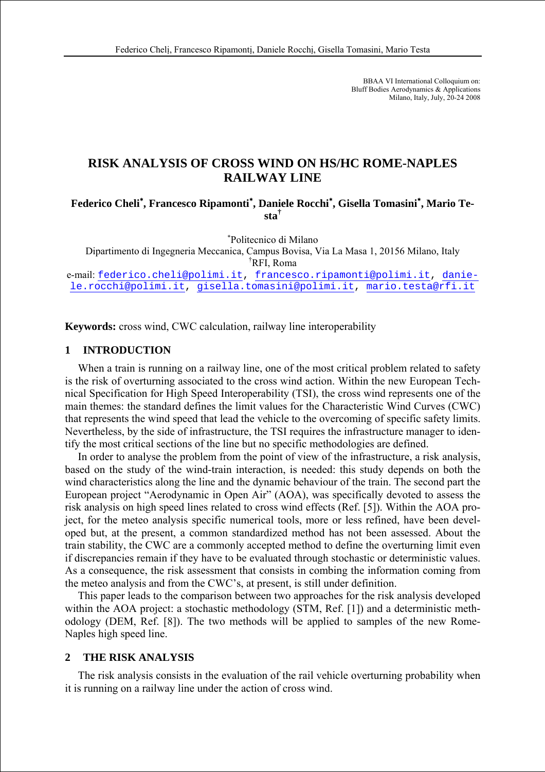BBAA VI International Colloquium on: Bluff Bodies Aerodynamics & Applications Milano, Italy, July, 20-24 2008

# **RISK ANALYSIS OF CROSS WIND ON HS/HC ROME-NAPLES RAILWAY LINE**

**Federico Cheli**<sup>∗</sup> **, Francesco Ripamonti**<sup>∗</sup> **, Daniele Rocchi**<sup>∗</sup> **, Gisella Tomasini**<sup>∗</sup> **, Mario Testa†**

∗ Politecnico di Milano

Dipartimento di Ingegneria Meccanica, Campus Bovisa, Via La Masa 1, 20156 Milano, Italy † RFI, Roma

e-mail: federico.cheli@polimi.it, francesco.ripamonti@polimi.it, daniele.rocchi@polimi.it, gisella.tomasini@polimi.it, mario.testa@rfi.it

**Keywords:** cross wind, CWC calculation, railway line interoperability

### **1 INTRODUCTION**

When a train is running on a railway line, one of the most critical problem related to safety is the risk of overturning associated to the cross wind action. Within the new European Technical Specification for High Speed Interoperability (TSI), the cross wind represents one of the main themes: the standard defines the limit values for the Characteristic Wind Curves (CWC) that represents the wind speed that lead the vehicle to the overcoming of specific safety limits. Nevertheless, by the side of infrastructure, the TSI requires the infrastructure manager to identify the most critical sections of the line but no specific methodologies are defined.

In order to analyse the problem from the point of view of the infrastructure, a risk analysis, based on the study of the wind-train interaction, is needed: this study depends on both the wind characteristics along the line and the dynamic behaviour of the train. The second part the European project "Aerodynamic in Open Air" (AOA), was specifically devoted to assess the risk analysis on high speed lines related to cross wind effects (Ref. [5]). Within the AOA project, for the meteo analysis specific numerical tools, more or less refined, have been developed but, at the present, a common standardized method has not been assessed. About the train stability, the CWC are a commonly accepted method to define the overturning limit even if discrepancies remain if they have to be evaluated through stochastic or deterministic values. As a consequence, the risk assessment that consists in combing the information coming from the meteo analysis and from the CWC's, at present, is still under definition.

This paper leads to the comparison between two approaches for the risk analysis developed within the AOA project: a stochastic methodology (STM, Ref. [1]) and a deterministic methodology (DEM, Ref. [8]). The two methods will be applied to samples of the new Rome-Naples high speed line.

## **2 THE RISK ANALYSIS**

The risk analysis consists in the evaluation of the rail vehicle overturning probability when it is running on a railway line under the action of cross wind.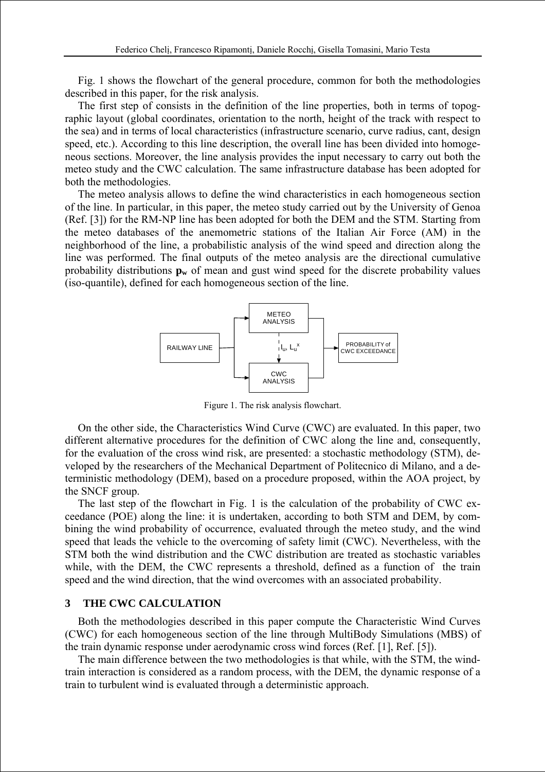Fig. 1 shows the flowchart of the general procedure, common for both the methodologies described in this paper, for the risk analysis.

The first step of consists in the definition of the line properties, both in terms of topographic layout (global coordinates, orientation to the north, height of the track with respect to the sea) and in terms of local characteristics (infrastructure scenario, curve radius, cant, design speed, etc.). According to this line description, the overall line has been divided into homogeneous sections. Moreover, the line analysis provides the input necessary to carry out both the meteo study and the CWC calculation. The same infrastructure database has been adopted for both the methodologies.

The meteo analysis allows to define the wind characteristics in each homogeneous section of the line. In particular, in this paper, the meteo study carried out by the University of Genoa (Ref. [3]) for the RM-NP line has been adopted for both the DEM and the STM. Starting from the meteo databases of the anemometric stations of the Italian Air Force (AM) in the neighborhood of the line, a probabilistic analysis of the wind speed and direction along the line was performed. The final outputs of the meteo analysis are the directional cumulative probability distributions  $\mathbf{p}_w$  of mean and gust wind speed for the discrete probability values (iso-quantile), defined for each homogeneous section of the line.



Figure 1. The risk analysis flowchart.

On the other side, the Characteristics Wind Curve (CWC) are evaluated. In this paper, two different alternative procedures for the definition of CWC along the line and, consequently, for the evaluation of the cross wind risk, are presented: a stochastic methodology (STM), developed by the researchers of the Mechanical Department of Politecnico di Milano, and a deterministic methodology (DEM), based on a procedure proposed, within the AOA project, by the SNCF group.

The last step of the flowchart in Fig. 1 is the calculation of the probability of CWC exceedance (POE) along the line: it is undertaken, according to both STM and DEM, by combining the wind probability of occurrence, evaluated through the meteo study, and the wind speed that leads the vehicle to the overcoming of safety limit (CWC). Nevertheless, with the STM both the wind distribution and the CWC distribution are treated as stochastic variables while, with the DEM, the CWC represents a threshold, defined as a function of the train speed and the wind direction, that the wind overcomes with an associated probability.

#### **3 THE CWC CALCULATION**

Both the methodologies described in this paper compute the Characteristic Wind Curves (CWC) for each homogeneous section of the line through MultiBody Simulations (MBS) of the train dynamic response under aerodynamic cross wind forces (Ref. [1], Ref. [5]).

The main difference between the two methodologies is that while, with the STM, the windtrain interaction is considered as a random process, with the DEM, the dynamic response of a train to turbulent wind is evaluated through a deterministic approach.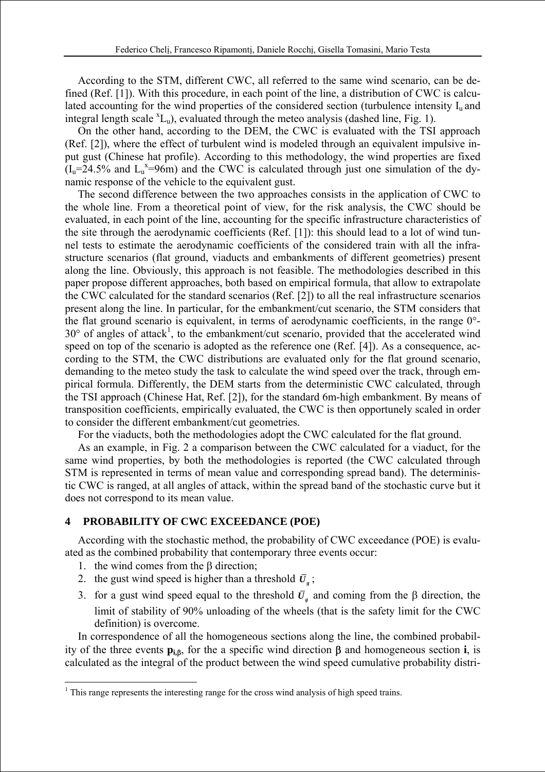According to the STM, different CWC, all referred to the same wind scenario, can be defined (Ref. [1]). With this procedure, in each point of the line, a distribution of CWC is calculated accounting for the wind properties of the considered section (turbulence intensity  $I_u$  and integral length scale  ${}^xL_u$ ), evaluated through the meteo analysis (dashed line, Fig. 1).

On the other hand, according to the DEM, the CWC is evaluated with the TSI approach (Ref. [2]), where the effect of turbulent wind is modeled through an equivalent impulsive input gust (Chinese hat profile). According to this methodology, the wind properties are fixed  $(I_u=24.5\%$  and  $L_u^x=96$ m) and the CWC is calculated through just one simulation of the dynamic response of the vehicle to the equivalent gust.

The second difference between the two approaches consists in the application of CWC to the whole line. From a theoretical point of view, for the risk analysis, the CWC should be evaluated, in each point of the line, accounting for the specific infrastructure characteristics of the site through the aerodynamic coefficients (Ref. [1]): this should lead to a lot of wind tunnel tests to estimate the aerodynamic coefficients of the considered train with all the infrastructure scenarios (flat ground, viaducts and embankments of different geometries) present along the line. Obviously, this approach is not feasible. The methodologies described in this paper propose different approaches, both based on empirical formula, that allow to extrapolate the CWC calculated for the standard scenarios (Ref. [2]) to all the real infrastructure scenarios present along the line. In particular, for the embankment/cut scenario, the STM considers that the flat ground scenario is equivalent, in terms of aerodynamic coefficients, in the range 0°-  $30^{\circ}$  of angles of attack<sup>1</sup>, to the embankment/cut scenario, provided that the accelerated wind speed on top of the scenario is adopted as the reference one (Ref. [4]). As a consequence, according to the STM, the CWC distributions are evaluated only for the flat ground scenario, demanding to the meteo study the task to calculate the wind speed over the track, through empirical formula. Differently, the DEM starts from the deterministic CWC calculated, through the TSI approach (Chinese Hat, Ref. [2]), for the standard 6m-high embankment. By means of transposition coefficients, empirically evaluated, the CWC is then opportunely scaled in order to consider the different embankment/cut geometries.

For the viaducts, both the methodologies adopt the CWC calculated for the flat ground.

As an example, in Fig. 2 a comparison between the CWC calculated for a viaduct, for the same wind properties, by both the methodologies is reported (the CWC calculated through STM is represented in terms of mean value and corresponding spread band). The deterministic CWC is ranged, at all angles of attack, within the spread band of the stochastic curve but it does not correspond to its mean value.

#### **4 PROBABILITY OF CWC EXCEEDANCE (POE)**

According with the stochastic method, the probability of CWC exceedance (POE) is evaluated as the combined probability that contemporary three events occur:

1. the wind comes from the  $\beta$  direction;

 $\overline{a}$ 

- 2. the gust wind speed is higher than a threshold  $\bar{U}_s$ ;
- 3. for a gust wind speed equal to the threshold  $\bar{U}_r$ , and coming from the β direction, the limit of stability of 90% unloading of the wheels (that is the safety limit for the CWC definition) is overcome.

In correspondence of all the homogeneous sections along the line, the combined probability of the three events **pi,**β, for the a specific wind direction β and homogeneous section **i**, is calculated as the integral of the product between the wind speed cumulative probability distri-

<sup>&</sup>lt;sup>1</sup> This range represents the interesting range for the cross wind analysis of high speed trains.